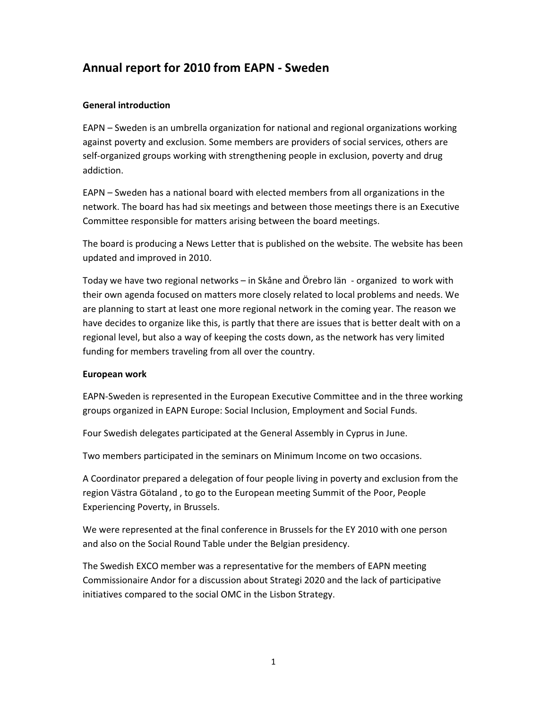# Annual report for 2010 from EAPN - Sweden

### General introduction

EAPN – Sweden is an umbrella organization for national and regional organizations working against poverty and exclusion. Some members are providers of social services, others are self-organized groups working with strengthening people in exclusion, poverty and drug addiction.

EAPN – Sweden has a national board with elected members from all organizations in the network. The board has had six meetings and between those meetings there is an Executive Committee responsible for matters arising between the board meetings.

The board is producing a News Letter that is published on the website. The website has been updated and improved in 2010.

Today we have two regional networks – in Skåne and Örebro län - organized to work with their own agenda focused on matters more closely related to local problems and needs. We are planning to start at least one more regional network in the coming year. The reason we have decides to organize like this, is partly that there are issues that is better dealt with on a regional level, but also a way of keeping the costs down, as the network has very limited funding for members traveling from all over the country.

#### European work

EAPN-Sweden is represented in the European Executive Committee and in the three working groups organized in EAPN Europe: Social Inclusion, Employment and Social Funds.

Four Swedish delegates participated at the General Assembly in Cyprus in June.

Two members participated in the seminars on Minimum Income on two occasions.

A Coordinator prepared a delegation of four people living in poverty and exclusion from the region Västra Götaland , to go to the European meeting Summit of the Poor, People Experiencing Poverty, in Brussels.

We were represented at the final conference in Brussels for the EY 2010 with one person and also on the Social Round Table under the Belgian presidency.

The Swedish EXCO member was a representative for the members of EAPN meeting Commissionaire Andor for a discussion about Strategi 2020 and the lack of participative initiatives compared to the social OMC in the Lisbon Strategy.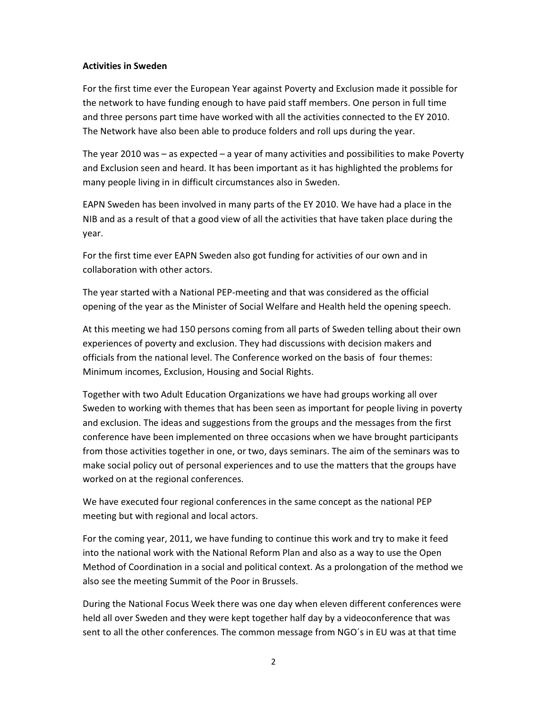#### Activities in Sweden

For the first time ever the European Year against Poverty and Exclusion made it possible for the network to have funding enough to have paid staff members. One person in full time and three persons part time have worked with all the activities connected to the EY 2010. The Network have also been able to produce folders and roll ups during the year.

The year 2010 was – as expected – a year of many activities and possibilities to make Poverty and Exclusion seen and heard. It has been important as it has highlighted the problems for many people living in in difficult circumstances also in Sweden.

EAPN Sweden has been involved in many parts of the EY 2010. We have had a place in the NIB and as a result of that a good view of all the activities that have taken place during the year.

For the first time ever EAPN Sweden also got funding for activities of our own and in collaboration with other actors.

The year started with a National PEP-meeting and that was considered as the official opening of the year as the Minister of Social Welfare and Health held the opening speech.

At this meeting we had 150 persons coming from all parts of Sweden telling about their own experiences of poverty and exclusion. They had discussions with decision makers and officials from the national level. The Conference worked on the basis of four themes: Minimum incomes, Exclusion, Housing and Social Rights.

Together with two Adult Education Organizations we have had groups working all over Sweden to working with themes that has been seen as important for people living in poverty and exclusion. The ideas and suggestions from the groups and the messages from the first conference have been implemented on three occasions when we have brought participants from those activities together in one, or two, days seminars. The aim of the seminars was to make social policy out of personal experiences and to use the matters that the groups have worked on at the regional conferences.

We have executed four regional conferences in the same concept as the national PEP meeting but with regional and local actors.

For the coming year, 2011, we have funding to continue this work and try to make it feed into the national work with the National Reform Plan and also as a way to use the Open Method of Coordination in a social and political context. As a prolongation of the method we also see the meeting Summit of the Poor in Brussels.

During the National Focus Week there was one day when eleven different conferences were held all over Sweden and they were kept together half day by a videoconference that was sent to all the other conferences. The common message from NGO´s in EU was at that time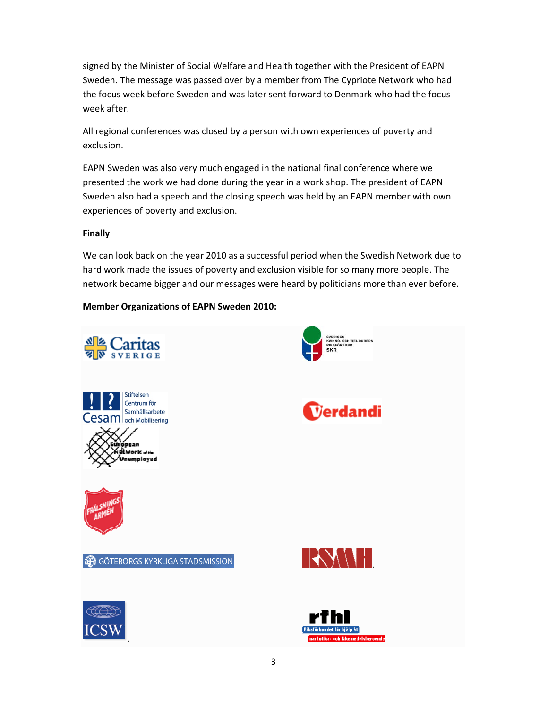signed by the Minister of Social Welfare and Health together with the President of EAPN Sweden. The message was passed over by a member from The Cypriote Network who had the focus week before Sweden and was later sent forward to Denmark who had the focus week after.

All regional conferences was closed by a person with own experiences of poverty and exclusion.

EAPN Sweden was also very much engaged in the national final conference where we presented the work we had done during the year in a work shop. The president of EAPN Sweden also had a speech and the closing speech was held by an EAPN member with own experiences of poverty and exclusion.

#### Finally

We can look back on the year 2010 as a successful period when the Swedish Network due to hard work made the issues of poverty and exclusion visible for so many more people. The network became bigger and our messages were heard by politicians more than ever before.

## Member Organizations of EAPN Sweden 2010: